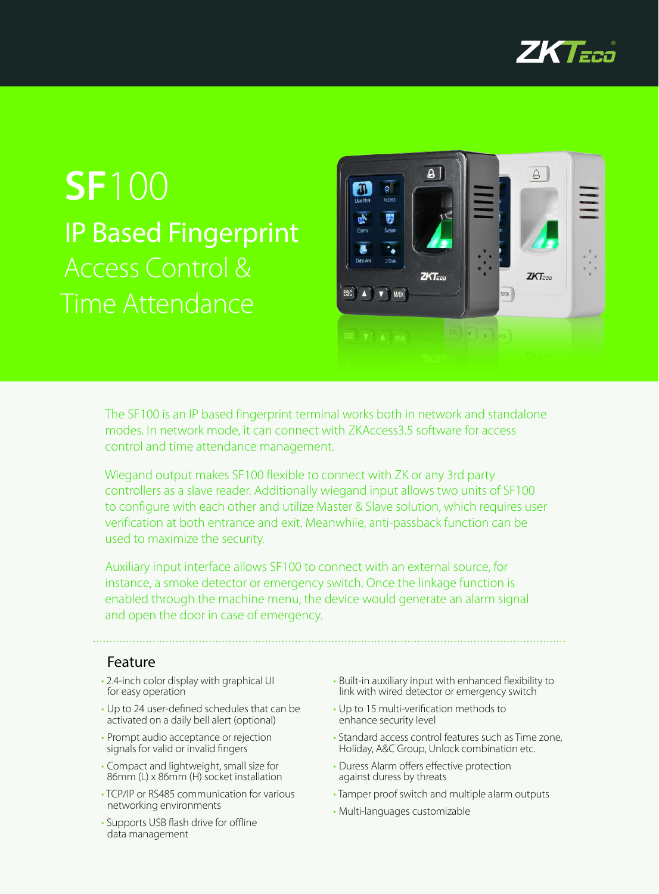

# **SF**100 IP Based Fingerprint Access Control & Time Attendance



The SF100 is an IP based fingerprint terminal works both in network and standalone modes. In network mode, it can connect with ZKAccess3.5 software for access control and time attendance management.

Wiegand output makes SF100 flexible to connect with ZK or any 3rd party controllers as a slave reader. Additionally wiegand input allows two units of SF100 to configure with each other and utilize Master & Slave solution, which requires user verification at both entrance and exit. Meanwhile, anti-passback function can be used to maximize the security.

Auxiliary input interface allows SF100 to connect with an external source, for instance, a smoke detector or emergency switch. Once the linkage function is enabled through the machine menu, the device would generate an alarm signal and open the door in case of emergency.

## Feature

- 2.4-inch color display with graphical UI for easy operation
- • Up to 24 user-defined schedules that can be activated on a daily bell alert (optional)
- Prompt audio acceptance or rejection signals for valid or invalid fingers
- • Compact and lightweight, small size for 86mm (L) x 86mm (H) socket installation
- TCP/IP or RS485 communication for various networking environments
- Supports USB flash drive for offline data management
- • Built-in auxiliary input with enhanced flexibility to link with wired detector or emergency switch
- • Up to 15 multi-verification methods to enhance security level
- Standard access control features such as Time zone, Holiday, A&C Group, Unlock combination etc.
- Duress Alarm offers effective protection against duress by threats
- Tamper proof switch and multiple alarm outputs
- • Multi-languages customizable